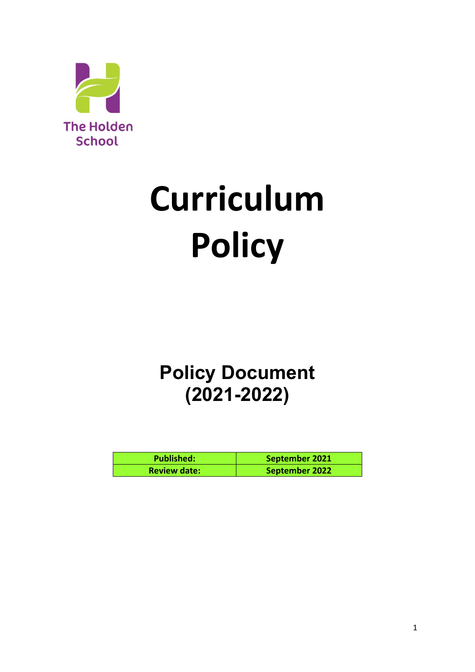

# **Curriculum Policy**

# **Policy Document (2021-2022)**

| <b>Published:</b>   | September 2021 |
|---------------------|----------------|
| <b>Review date:</b> | September 2022 |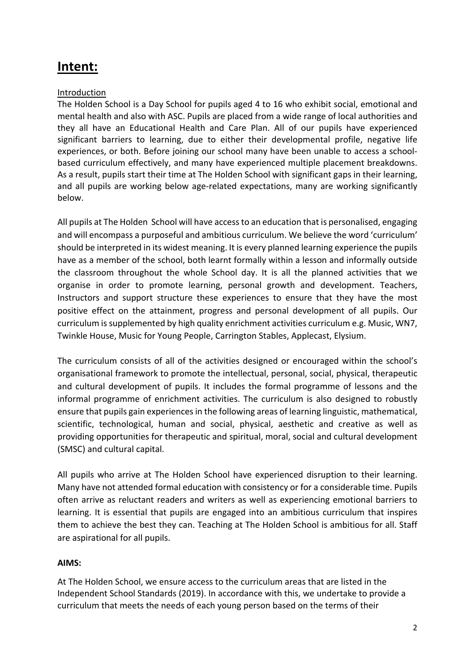# **Intent:**

#### Introduction

The Holden School is a Day School for pupils aged 4 to 16 who exhibit social, emotional and mental health and also with ASC. Pupils are placed from a wide range of local authorities and they all have an Educational Health and Care Plan. All of our pupils have experienced significant barriers to learning, due to either their developmental profile, negative life experiences, or both. Before joining our school many have been unable to access a schoolbased curriculum effectively, and many have experienced multiple placement breakdowns. As a result, pupils start their time at The Holden School with significant gaps in their learning, and all pupils are working below age-related expectations, many are working significantly below.

All pupils at The Holden School will have access to an education that is personalised, engaging and will encompass a purposeful and ambitious curriculum. We believe the word 'curriculum' should be interpreted in its widest meaning. It is every planned learning experience the pupils have as a member of the school, both learnt formally within a lesson and informally outside the classroom throughout the whole School day. It is all the planned activities that we organise in order to promote learning, personal growth and development. Teachers, Instructors and support structure these experiences to ensure that they have the most positive effect on the attainment, progress and personal development of all pupils. Our curriculum is supplemented by high quality enrichment activities curriculum e.g. Music, WN7, Twinkle House, Music for Young People, Carrington Stables, Applecast, Elysium.

The curriculum consists of all of the activities designed or encouraged within the school's organisational framework to promote the intellectual, personal, social, physical, therapeutic and cultural development of pupils. It includes the formal programme of lessons and the informal programme of enrichment activities. The curriculum is also designed to robustly ensure that pupils gain experiences in the following areas of learning linguistic, mathematical, scientific, technological, human and social, physical, aesthetic and creative as well as providing opportunities for therapeutic and spiritual, moral, social and cultural development (SMSC) and cultural capital.

All pupils who arrive at The Holden School have experienced disruption to their learning. Many have not attended formal education with consistency or for a considerable time. Pupils often arrive as reluctant readers and writers as well as experiencing emotional barriers to learning. It is essential that pupils are engaged into an ambitious curriculum that inspires them to achieve the best they can. Teaching at The Holden School is ambitious for all. Staff are aspirational for all pupils.

#### **AIMS:**

At The Holden School, we ensure access to the curriculum areas that are listed in the Independent School Standards (2019). In accordance with this, we undertake to provide a curriculum that meets the needs of each young person based on the terms of their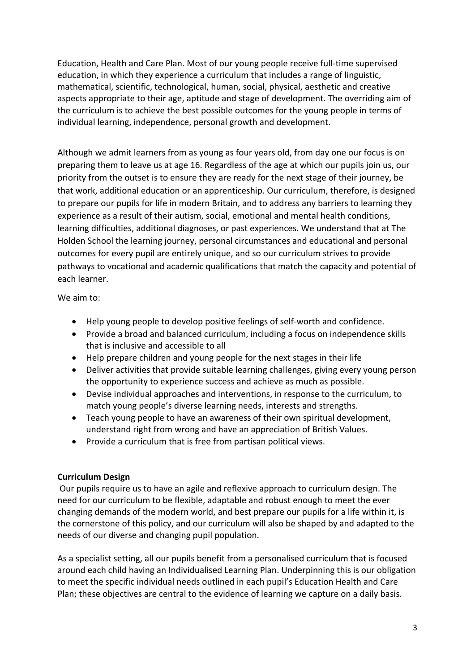Education, Health and Care Plan. Most of our young people receive full-time supervised education, in which they experience a curriculum that includes a range of linguistic, mathematical, scientific, technological, human, social, physical, aesthetic and creative aspects appropriate to their age, aptitude and stage of development. The overriding aim of the curriculum is to achieve the best possible outcomes for the young people in terms of individual learning, independence, personal growth and development.

Although we admit learners from as young as four years old, from day one our focus is on preparing them to leave us at age 16. Regardless of the age at which our pupils join us, our priority from the outset is to ensure they are ready for the next stage of their journey, be that work, additional education or an apprenticeship. Our curriculum, therefore, is designed to prepare our pupils for life in modern Britain, and to address any barriers to learning they experience as a result of their autism, social, emotional and mental health conditions, learning difficulties, additional diagnoses, or past experiences. We understand that at The Holden School the learning journey, personal circumstances and educational and personal outcomes for every pupil are entirely unique, and so our curriculum strives to provide pathways to vocational and academic qualifications that match the capacity and potential of each learner.

We aim to:

- Help young people to develop positive feelings of self-worth and confidence.
- Provide a broad and balanced curriculum, including a focus on independence skills that is inclusive and accessible to all
- Help prepare children and young people for the next stages in their life
- Deliver activities that provide suitable learning challenges, giving every young person the opportunity to experience success and achieve as much as possible.
- Devise individual approaches and interventions, in response to the curriculum, to match young people's diverse learning needs, interests and strengths.
- Teach young people to have an awareness of their own spiritual development, understand right from wrong and have an appreciation of British Values.
- Provide a curriculum that is free from partisan political views.

#### **Curriculum Design**

Our pupils require us to have an agile and reflexive approach to curriculum design. The need for our curriculum to be flexible, adaptable and robust enough to meet the ever changing demands of the modern world, and best prepare our pupils for a life within it, is the cornerstone of this policy, and our curriculum will also be shaped by and adapted to the needs of our diverse and changing pupil population.

As a specialist setting, all our pupils benefit from a personalised curriculum that is focused around each child having an Individualised Learning Plan. Underpinning this is our obligation to meet the specific individual needs outlined in each pupil's Education Health and Care Plan; these objectives are central to the evidence of learning we capture on a daily basis.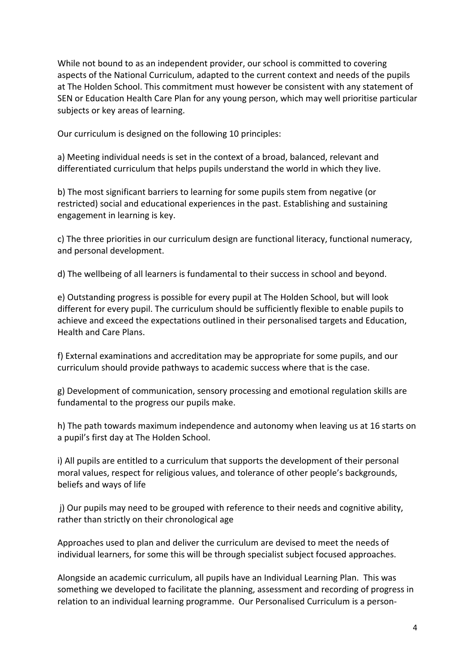While not bound to as an independent provider, our school is committed to covering aspects of the National Curriculum, adapted to the current context and needs of the pupils at The Holden School. This commitment must however be consistent with any statement of SEN or Education Health Care Plan for any young person, which may well prioritise particular subjects or key areas of learning.

Our curriculum is designed on the following 10 principles:

a) Meeting individual needs is set in the context of a broad, balanced, relevant and differentiated curriculum that helps pupils understand the world in which they live.

b) The most significant barriers to learning for some pupils stem from negative (or restricted) social and educational experiences in the past. Establishing and sustaining engagement in learning is key.

c) The three priorities in our curriculum design are functional literacy, functional numeracy, and personal development.

d) The wellbeing of all learners is fundamental to their success in school and beyond.

e) Outstanding progress is possible for every pupil at The Holden School, but will look different for every pupil. The curriculum should be sufficiently flexible to enable pupils to achieve and exceed the expectations outlined in their personalised targets and Education, Health and Care Plans.

f) External examinations and accreditation may be appropriate for some pupils, and our curriculum should provide pathways to academic success where that is the case.

g) Development of communication, sensory processing and emotional regulation skills are fundamental to the progress our pupils make.

h) The path towards maximum independence and autonomy when leaving us at 16 starts on a pupil's first day at The Holden School.

i) All pupils are entitled to a curriculum that supports the development of their personal moral values, respect for religious values, and tolerance of other people's backgrounds, beliefs and ways of life

j) Our pupils may need to be grouped with reference to their needs and cognitive ability, rather than strictly on their chronological age

Approaches used to plan and deliver the curriculum are devised to meet the needs of individual learners, for some this will be through specialist subject focused approaches.

Alongside an academic curriculum, all pupils have an Individual Learning Plan. This was something we developed to facilitate the planning, assessment and recording of progress in relation to an individual learning programme. Our Personalised Curriculum is a person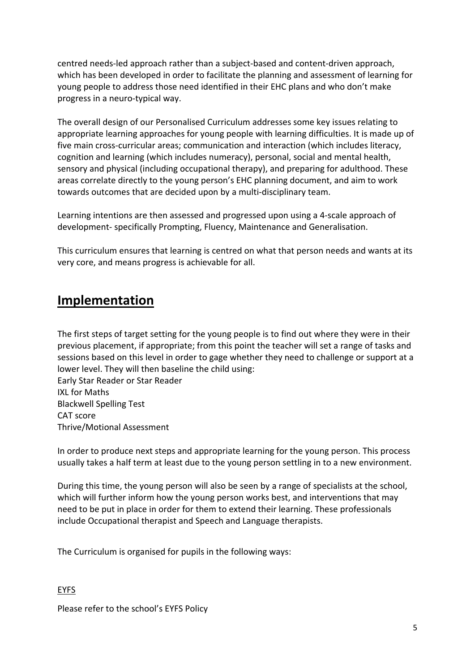centred needs-led approach rather than a subject-based and content-driven approach, which has been developed in order to facilitate the planning and assessment of learning for young people to address those need identified in their EHC plans and who don't make progress in a neuro-typical way.

The overall design of our Personalised Curriculum addresses some key issues relating to appropriate learning approaches for young people with learning difficulties. It is made up of five main cross-curricular areas; communication and interaction (which includes literacy, cognition and learning (which includes numeracy), personal, social and mental health, sensory and physical (including occupational therapy), and preparing for adulthood. These areas correlate directly to the young person's EHC planning document, and aim to work towards outcomes that are decided upon by a multi-disciplinary team.

Learning intentions are then assessed and progressed upon using a 4-scale approach of development- specifically Prompting, Fluency, Maintenance and Generalisation.

This curriculum ensures that learning is centred on what that person needs and wants at its very core, and means progress is achievable for all.

## **Implementation**

The first steps of target setting for the young people is to find out where they were in their previous placement, if appropriate; from this point the teacher will set a range of tasks and sessions based on this level in order to gage whether they need to challenge or support at a lower level. They will then baseline the child using: Early Star Reader or Star Reader IXL for Maths Blackwell Spelling Test CAT score

Thrive/Motional Assessment

In order to produce next steps and appropriate learning for the young person. This process usually takes a half term at least due to the young person settling in to a new environment.

During this time, the young person will also be seen by a range of specialists at the school, which will further inform how the young person works best, and interventions that may need to be put in place in order for them to extend their learning. These professionals include Occupational therapist and Speech and Language therapists.

The Curriculum is organised for pupils in the following ways:

EYFS

Please refer to the school's EYFS Policy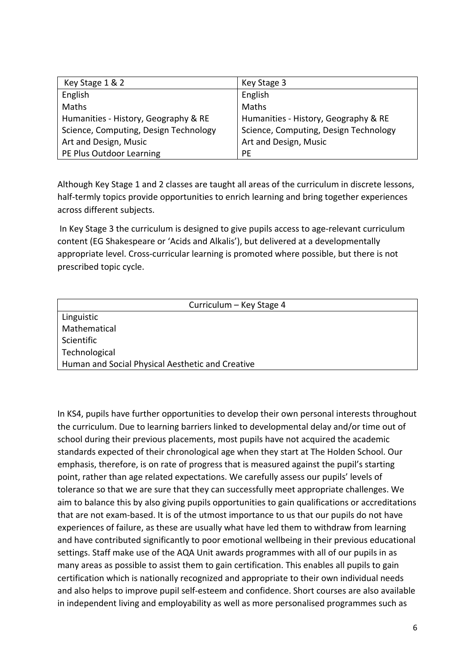| Key Stage 1 & 2                       | Key Stage 3                           |
|---------------------------------------|---------------------------------------|
| English                               | English                               |
| Maths                                 | Maths                                 |
| Humanities - History, Geography & RE  | Humanities - History, Geography & RE  |
| Science, Computing, Design Technology | Science, Computing, Design Technology |
| Art and Design, Music                 | Art and Design, Music                 |
| PE Plus Outdoor Learning              | PE                                    |

Although Key Stage 1 and 2 classes are taught all areas of the curriculum in discrete lessons, half-termly topics provide opportunities to enrich learning and bring together experiences across different subjects.

In Key Stage 3 the curriculum is designed to give pupils access to age-relevant curriculum content (EG Shakespeare or 'Acids and Alkalis'), but delivered at a developmentally appropriate level. Cross-curricular learning is promoted where possible, but there is not prescribed topic cycle.

| Curriculum - Key Stage 4                         |  |
|--------------------------------------------------|--|
| Linguistic                                       |  |
| Mathematical                                     |  |
| Scientific                                       |  |
| Technological                                    |  |
| Human and Social Physical Aesthetic and Creative |  |

In KS4, pupils have further opportunities to develop their own personal interests throughout the curriculum. Due to learning barriers linked to developmental delay and/or time out of school during their previous placements, most pupils have not acquired the academic standards expected of their chronological age when they start at The Holden School. Our emphasis, therefore, is on rate of progress that is measured against the pupil's starting point, rather than age related expectations. We carefully assess our pupils' levels of tolerance so that we are sure that they can successfully meet appropriate challenges. We aim to balance this by also giving pupils opportunities to gain qualifications or accreditations that are not exam-based. It is of the utmost importance to us that our pupils do not have experiences of failure, as these are usually what have led them to withdraw from learning and have contributed significantly to poor emotional wellbeing in their previous educational settings. Staff make use of the AQA Unit awards programmes with all of our pupils in as many areas as possible to assist them to gain certification. This enables all pupils to gain certification which is nationally recognized and appropriate to their own individual needs and also helps to improve pupil self-esteem and confidence. Short courses are also available in independent living and employability as well as more personalised programmes such as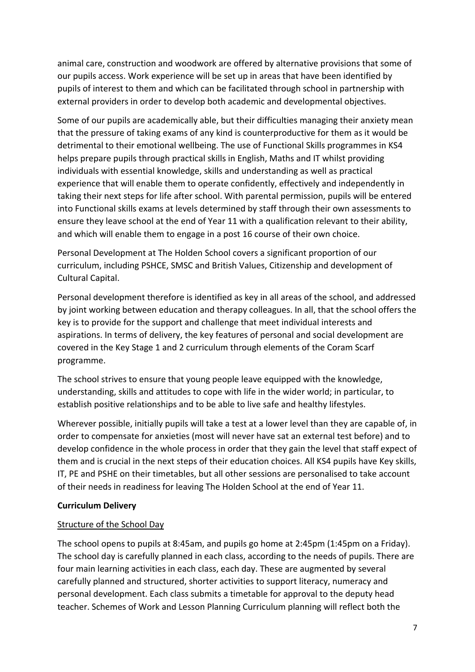animal care, construction and woodwork are offered by alternative provisions that some of our pupils access. Work experience will be set up in areas that have been identified by pupils of interest to them and which can be facilitated through school in partnership with external providers in order to develop both academic and developmental objectives.

Some of our pupils are academically able, but their difficulties managing their anxiety mean that the pressure of taking exams of any kind is counterproductive for them as it would be detrimental to their emotional wellbeing. The use of Functional Skills programmes in KS4 helps prepare pupils through practical skills in English, Maths and IT whilst providing individuals with essential knowledge, skills and understanding as well as practical experience that will enable them to operate confidently, effectively and independently in taking their next steps for life after school. With parental permission, pupils will be entered into Functional skills exams at levels determined by staff through their own assessments to ensure they leave school at the end of Year 11 with a qualification relevant to their ability, and which will enable them to engage in a post 16 course of their own choice.

Personal Development at The Holden School covers a significant proportion of our curriculum, including PSHCE, SMSC and British Values, Citizenship and development of Cultural Capital.

Personal development therefore is identified as key in all areas of the school, and addressed by joint working between education and therapy colleagues. In all, that the school offers the key is to provide for the support and challenge that meet individual interests and aspirations. In terms of delivery, the key features of personal and social development are covered in the Key Stage 1 and 2 curriculum through elements of the Coram Scarf programme.

The school strives to ensure that young people leave equipped with the knowledge, understanding, skills and attitudes to cope with life in the wider world; in particular, to establish positive relationships and to be able to live safe and healthy lifestyles.

Wherever possible, initially pupils will take a test at a lower level than they are capable of, in order to compensate for anxieties (most will never have sat an external test before) and to develop confidence in the whole process in order that they gain the level that staff expect of them and is crucial in the next steps of their education choices. All KS4 pupils have Key skills, IT, PE and PSHE on their timetables, but all other sessions are personalised to take account of their needs in readiness for leaving The Holden School at the end of Year 11.

#### **Curriculum Delivery**

#### Structure of the School Day

The school opens to pupils at 8:45am, and pupils go home at 2:45pm (1:45pm on a Friday). The school day is carefully planned in each class, according to the needs of pupils. There are four main learning activities in each class, each day. These are augmented by several carefully planned and structured, shorter activities to support literacy, numeracy and personal development. Each class submits a timetable for approval to the deputy head teacher. Schemes of Work and Lesson Planning Curriculum planning will reflect both the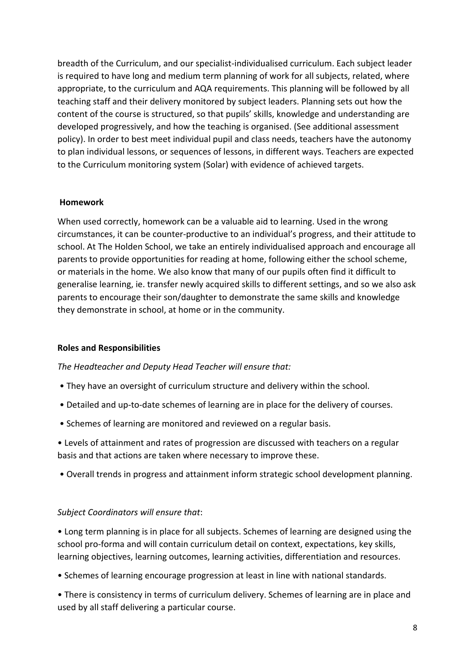breadth of the Curriculum, and our specialist-individualised curriculum. Each subject leader is required to have long and medium term planning of work for all subjects, related, where appropriate, to the curriculum and AQA requirements. This planning will be followed by all teaching staff and their delivery monitored by subject leaders. Planning sets out how the content of the course is structured, so that pupils' skills, knowledge and understanding are developed progressively, and how the teaching is organised. (See additional assessment policy). In order to best meet individual pupil and class needs, teachers have the autonomy to plan individual lessons, or sequences of lessons, in different ways. Teachers are expected to the Curriculum monitoring system (Solar) with evidence of achieved targets.

#### **Homework**

When used correctly, homework can be a valuable aid to learning. Used in the wrong circumstances, it can be counter-productive to an individual's progress, and their attitude to school. At The Holden School, we take an entirely individualised approach and encourage all parents to provide opportunities for reading at home, following either the school scheme, or materials in the home. We also know that many of our pupils often find it difficult to generalise learning, ie. transfer newly acquired skills to different settings, and so we also ask parents to encourage their son/daughter to demonstrate the same skills and knowledge they demonstrate in school, at home or in the community.

#### **Roles and Responsibilities**

#### *The Headteacher and Deputy Head Teacher will ensure that:*

- They have an oversight of curriculum structure and delivery within the school.
- Detailed and up-to-date schemes of learning are in place for the delivery of courses.
- Schemes of learning are monitored and reviewed on a regular basis.

• Levels of attainment and rates of progression are discussed with teachers on a regular basis and that actions are taken where necessary to improve these.

• Overall trends in progress and attainment inform strategic school development planning.

#### *Subject Coordinators will ensure that*:

• Long term planning is in place for all subjects. Schemes of learning are designed using the school pro-forma and will contain curriculum detail on context, expectations, key skills, learning objectives, learning outcomes, learning activities, differentiation and resources.

• Schemes of learning encourage progression at least in line with national standards.

• There is consistency in terms of curriculum delivery. Schemes of learning are in place and used by all staff delivering a particular course.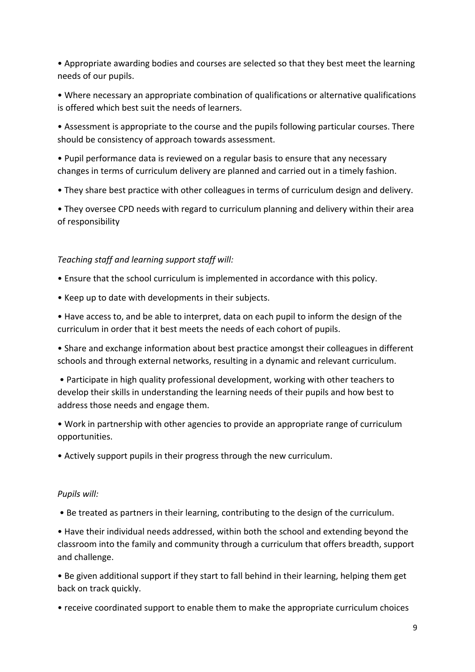• Appropriate awarding bodies and courses are selected so that they best meet the learning needs of our pupils.

• Where necessary an appropriate combination of qualifications or alternative qualifications is offered which best suit the needs of learners.

• Assessment is appropriate to the course and the pupils following particular courses. There should be consistency of approach towards assessment.

• Pupil performance data is reviewed on a regular basis to ensure that any necessary changes in terms of curriculum delivery are planned and carried out in a timely fashion.

• They share best practice with other colleagues in terms of curriculum design and delivery.

• They oversee CPD needs with regard to curriculum planning and delivery within their area of responsibility

#### *Teaching staff and learning support staff will:*

- Ensure that the school curriculum is implemented in accordance with this policy.
- Keep up to date with developments in their subjects.

• Have access to, and be able to interpret, data on each pupil to inform the design of the curriculum in order that it best meets the needs of each cohort of pupils.

• Share and exchange information about best practice amongst their colleagues in different schools and through external networks, resulting in a dynamic and relevant curriculum.

• Participate in high quality professional development, working with other teachers to develop their skills in understanding the learning needs of their pupils and how best to address those needs and engage them.

• Work in partnership with other agencies to provide an appropriate range of curriculum opportunities.

• Actively support pupils in their progress through the new curriculum.

#### *Pupils will:*

• Be treated as partners in their learning, contributing to the design of the curriculum.

• Have their individual needs addressed, within both the school and extending beyond the classroom into the family and community through a curriculum that offers breadth, support and challenge.

• Be given additional support if they start to fall behind in their learning, helping them get back on track quickly.

• receive coordinated support to enable them to make the appropriate curriculum choices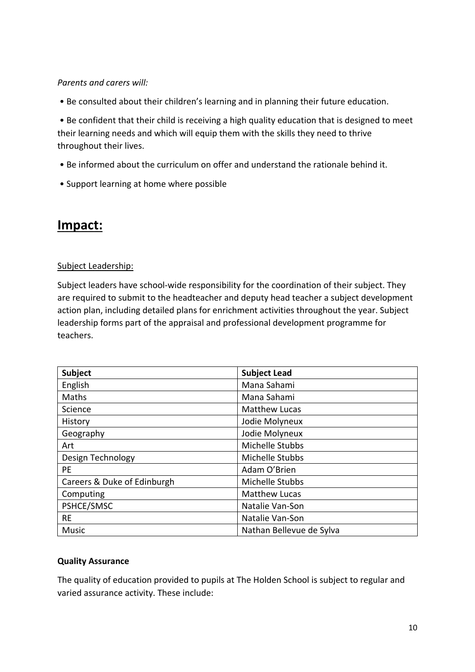#### *Parents and carers will:*

• Be consulted about their children's learning and in planning their future education.

• Be confident that their child is receiving a high quality education that is designed to meet their learning needs and which will equip them with the skills they need to thrive throughout their lives.

- Be informed about the curriculum on offer and understand the rationale behind it.
- Support learning at home where possible

### **Impact:**

#### Subject Leadership:

Subject leaders have school-wide responsibility for the coordination of their subject. They are required to submit to the headteacher and deputy head teacher a subject development action plan, including detailed plans for enrichment activities throughout the year. Subject leadership forms part of the appraisal and professional development programme for teachers.

| <b>Subject</b>              | <b>Subject Lead</b>      |
|-----------------------------|--------------------------|
| English                     | Mana Sahami              |
| Maths                       | Mana Sahami              |
| Science                     | <b>Matthew Lucas</b>     |
| History                     | Jodie Molyneux           |
| Geography                   | Jodie Molyneux           |
| Art                         | Michelle Stubbs          |
| Design Technology           | Michelle Stubbs          |
| PE.                         | Adam O'Brien             |
| Careers & Duke of Edinburgh | Michelle Stubbs          |
| Computing                   | <b>Matthew Lucas</b>     |
| PSHCE/SMSC                  | Natalie Van-Son          |
| <b>RE</b>                   | Natalie Van-Son          |
| Music                       | Nathan Bellevue de Sylva |

#### **Quality Assurance**

The quality of education provided to pupils at The Holden School is subject to regular and varied assurance activity. These include: